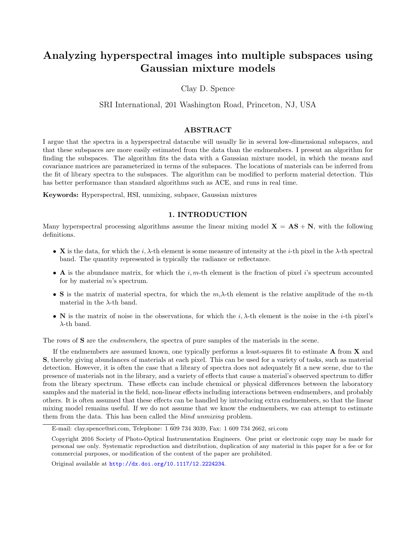# Analyzing hyperspectral images into multiple subspaces using Gaussian mixture models

Clay D. Spence

SRI International, 201 Washington Road, Princeton, NJ, USA

# ABSTRACT

I argue that the spectra in a hyperspectral datacube will usually lie in several low-dimensional subspaces, and that these subspaces are more easily estimated from the data than the endmembers. I present an algorithm for finding the subspaces. The algorithm fits the data with a Gaussian mixture model, in which the means and covariance matrices are parameterized in terms of the subspaces. The locations of materials can be inferred from the fit of library spectra to the subspaces. The algorithm can be modified to perform material detection. This has better performance than standard algorithms such as ACE, and runs in real time.

Keywords: Hyperspectral, HSI, unmixing, subpace, Gaussian mixtures

# 1. INTRODUCTION

Many hyperspectral processing algorithms assume the linear mixing model  $X = AS + N$ , with the following definitions.

- X is the data, for which the i,  $\lambda$ -th element is some measure of intensity at the i-th pixel in the  $\lambda$ -th spectral band. The quantity represented is typically the radiance or reflectance.
- A is the abundance matrix, for which the  $i, m$ -th element is the fraction of pixel i's spectrum accounted for by material m's spectrum.
- S is the matrix of material spectra, for which the  $m,\lambda$ -th element is the relative amplitude of the m-th material in the  $\lambda$ -th band.
- N is the matrix of noise in the observations, for which the  $i, \lambda$ -th element is the noise in the *i*-th pixel's  $\lambda$ -th band.

The rows of **S** are the *endmembers*, the spectra of pure samples of the materials in the scene.

If the endmembers are assumed known, one typically performs a least-squares fit to estimate  $A$  from  $X$  and S, thereby giving abundances of materials at each pixel. This can be used for a variety of tasks, such as material detection. However, it is often the case that a library of spectra does not adequately fit a new scene, due to the presence of materials not in the library, and a variety of effects that cause a material's observed spectrum to differ from the library spectrum. These effects can include chemical or physical differences between the laboratory samples and the material in the field, non-linear effects including interactions between endmembers, and probably others. It is often assumed that these effects can be handled by introducing extra endmembers, so that the linear mixing model remains useful. If we do not assume that we know the endmembers, we can attempt to estimate them from the data. This has been called the *blind unmixing* problem.

Original available at <http://dx.doi.org/10.1117/12.2224234>.

E-mail: clay.spence@sri.com, Telephone: 1 609 734 3039, Fax: 1 609 734 2662, sri.com

Copyright 2016 Society of Photo-Optical Instrumentation Engineers. One print or electronic copy may be made for personal use only. Systematic reproduction and distribution, duplication of any material in this paper for a fee or for commercial purposes, or modification of the content of the paper are prohibited.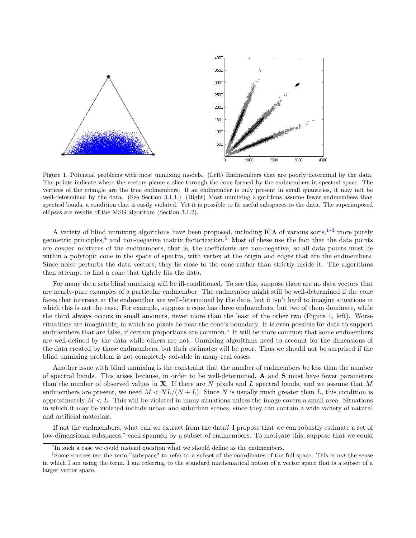

<span id="page-1-0"></span>Figure 1. Potential problems with most unmixing models. (Left) Endmembers that are poorly determind by the data. The points indicate where the vectors pierce a slice through the cone formed by the endmembers in spectral space. The vertices of the triangle are the true endmembers. If an endmember is only present in small quantities, it may not be well-determined by the data. (See Section [3.1.1.](#page-6-0)) (Right) Most unmixing algorithms assume fewer endmembers than spectral bands, a condition that is easily violated. Yet it is possible to fit useful subspaces to the data. The superimposed ellipses are results of the MSG algorithm (Section [3.1.2\)](#page-6-1).

A variety of blind unmixing algorithms have been proposed, including ICA of various sorts, $1-3$  $1-3$  more purely geometric principles,<sup>[4](#page-13-2)</sup> and non-negative matrix factorization.<sup>[5](#page-13-3)</sup> Most of these use the fact that the data points are *convex* mixtures of the endmembers, that is, the coefficients are non-negative, so all data points must lie within a polytopic cone in the space of spectra, with vertex at the origin and edges that are the endmembers. Since noise perturbs the data vectors, they lie close to the cone rather than strictly inside it. The algorithms then attempt to find a cone that tightly fits the data.

For many data sets blind unmixing will be ill-conditioned. To see this, suppose there are no data vectors that are nearly-pure examples of a particular endmember. The endmember might still be well-determined if the cone faces that intersect at the endmember are well-determined by the data, but it isn't hard to imagine situations in which this is not the case. For example, suppose a cone has three endmembers, but two of them dominate, while the third always occurs in small amounts, never more than the least of the other two (Figure [1,](#page-1-0) left). Worse situations are imaginable, in which no pixels lie near the cone's boundary. It is even possible for data to support endmembers that are false, if certain proportions are common.<sup>\*</sup> It will be more common that some endmembers are well-defined by the data while others are not. Unmixing algorithms need to account for the dimensions of the data created by those endmembers, but their estimates will be poor. Thus we should not be surprised if the blind unmixing problem is not completely solvable in many real cases.

Another issue with blind unmixing is the constraint that the number of endmembers be less than the number of spectral bands. This arises because, in order to be well-determined, A and S must have fewer parameters than the number of observed values in  $X$ . If there are N pixels and L spectral bands, and we assume that M endmembers are present, we need  $M < NL/(N+L)$ . Since N is usually much greater than L, this condition is approximately  $M < L$ . This will be violated in many situations unless the image covers a small area. Situations in which it may be violated include urban and suburban scenes, since they can contain a wide variety of natural and artificial materials.

If not the endmembers, what can we extract from the data? I propose that we can robustly estimate a set of low-dimensional subspaces,<sup>[†](#page-1-2)</sup> each spanned by a subset of endmembers. To motivate this, suppose that we could

<span id="page-1-2"></span><span id="page-1-1"></span><sup>∗</sup> In such a case we could instead question what we should define as the endmembers.

<sup>&</sup>lt;sup>†</sup>Some sources use the term "subspace" to refer to a subset of the coordinates of the full space. This is *not* the sense in which I am using the term. I am referring to the standard mathematical notion of a vector space that is a subset of a larger vector space.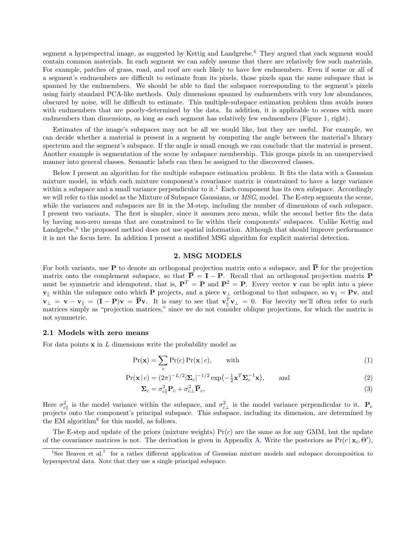segment a hyperspectral image, as suggested by Kettig and Landgrebe.<sup>[6](#page-13-4)</sup> They argued that each segment would contain common materials. In each segment we can safely assume that there are relatively few such materials. For example, patches of grass, road, and roof are each likely to have few endmembers. Even if some or all of a segment's endmembers are difficult to estimate from its pixels, those pixels span the same subspace that is spanned by the endmembers. We should be able to find the subspace corresponding to the segment's pixels using fairly standard PCA-like methods. Only dimensions spanned by endmembers with very low abundances, obscured by noise, will be difficult to estimate. This multiple-subspace estimation problem thus avoids issues with endmembers that are poorly-determined by the data. In addition, it is applicable to scenes with more endmembers than dimensions, as long as each segment has relatively few endmembers (Figure [1,](#page-1-0) right).

Estimates of the image's subspaces may not be all we would like, but they are useful. For example, we can decide whether a material is present in a segment by computing the angle between the material's library spectrum and the segment's subspace. If the angle is small enough we can conclude that the material is present. Another example is segmentation of the scene by subspace membership. This groups pixels in an unsupervised manner into general classes. Semantic labels can then be assigned to the discovered classes.

Below I present an algorithm for the multiple subspace estimation problem. It fits the data with a Gaussian mixture model, in which each mixture component's covariance matrix is constrained to have a large variance within a subspace and a small variance perpendicular to it.<sup>[‡](#page-2-0)</sup> Each component has its own subspace. Accordingly we will refer to this model as the Mixture of Subspace Gaussians, or MSG, model. The E-step segments the scene, while the variances and subspaces are fit in the M-step, including the number of dimensions of each subspace. I present two variants. The first is simpler, since it assumes zero mean, while the second better fits the data by having non-zero means that are constrained to lie within their components' subspaces. Unlike Kettig and Landgrebe,<sup>[6](#page-13-4)</sup> the proposed method does not use spatial information. Although that should improve performance it is not the focus here. In addition I present a modified MSG algorithm for explicit material detection.

# <span id="page-2-1"></span>2. MSG MODELS

For both variants, use **P** to denote an orthogonal projection matrix onto a subspace, and  $\overline{P}$  for the projection matrix onto the complement subspace, so that  $P = I - P$ . Recall that an orthogonal projection matrix P must be symmetric and idempotent, that is,  $\mathbf{P}^T = \mathbf{P}$  and  $\mathbf{P}^2 = \mathbf{P}$ . Every vector **v** can be split into a piece v<sub>||</sub> within the subspace onto which **P** projects, and a piece **v**<sub>⊥</sub> orthogonal to that subspace, so **v**<sub>||</sub> = **Pv**, and  ${\bf v}_{\perp} = {\bf v} - {\bf v}_{\parallel} = ({\bf I} - {\bf P}){\bf v} = {\bf \overline{P}} {\bf v}$ . It is easy to see that  ${\bf v}_{\parallel}^T {\bf v}_{\perp} = 0$ . For brevity we'll often refer to such matrices simply as "projection matrices," since we do not consider oblique projections, for which the matrix is not symmetric.

#### 2.1 Models with zero means

For data points  $x$  in  $L$  dimensions write the probability model as

$$
\Pr(\mathbf{x}) = \sum_{c} \Pr(c) \Pr(\mathbf{x} | c), \qquad \text{with} \tag{1}
$$

$$
\Pr(\mathbf{x} \mid c) = (2\pi)^{-L/2} |\mathbf{\Sigma}_c|^{-1/2} \exp\left(-\frac{1}{2}\mathbf{x}^T \mathbf{\Sigma}_c^{-1} \mathbf{x}\right), \quad \text{and} \quad (2)
$$

$$
\Sigma_c = \sigma_{c\parallel}^2 \mathbf{P}_c + \sigma_{c\perp}^2 \overline{\mathbf{P}}_c,\tag{3}
$$

Here  $\sigma_{c}^2$  is the model variance within the subspace, and  $\sigma_{c\perp}^2$  is the model variance perpendicular to it.  $P_c$ projects onto the component's principal subspace. This subspace, including its dimension, are determined by the EM algorithm<sup>[8](#page-13-5)</sup> for this model, as follows.

The E-step and update of the priors (mixture weights)  $Pr(c)$  are the same as for any GMM, but the update of the covariance matrices is not. The derivation is given in Appendix [A.](#page-10-0) Write the posteriors as  $Pr(c | x_i, \Theta')$ ,

<span id="page-2-0"></span><sup>&</sup>lt;sup>‡</sup>See Beaven et al.<sup>[7](#page-13-6)</sup> for a rather different application of Gaussian mixture models and subspace decomposition to hyperspectral data. Note that they use a single principal subspace.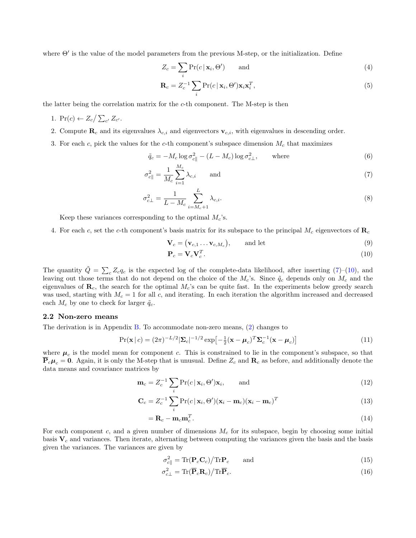where  $\Theta'$  is the value of the model parameters from the previous M-step, or the initialization. Define

<span id="page-3-4"></span><span id="page-3-3"></span>
$$
Z_c = \sum_i \Pr(c \mid \mathbf{x}_i, \Theta') \quad \text{and} \tag{4}
$$

<span id="page-3-2"></span>
$$
\mathbf{R}_c = Z_c^{-1} \sum_i \Pr(c \mid \mathbf{x}_i, \Theta') \mathbf{x}_i \mathbf{x}_i^T,
$$
\n(5)

the latter being the correlation matrix for the c-th component. The M-step is then

- 1. Pr(c)  $\leftarrow Z_c / \sum_{c'} Z_{c'}$ .
- 2. Compute  $\mathbf{R}_c$  and its eigenvalues  $\lambda_{c,i}$  and eigenvectors  $\mathbf{v}_{c,i}$ , with eigenvalues in descending order.
- 3. For each c, pick the values for the c-th component's subspace dimension  $M_c$  that maximizes

$$
\tilde{q}_c = -M_c \log \sigma_{c\parallel}^2 - (L - M_c) \log \sigma_{c\perp}^2, \qquad \text{where}
$$
\n
$$
M \tag{6}
$$

$$
\sigma_{c\parallel}^2 = \frac{1}{M_c} \sum_{i=1}^{M_c} \lambda_{c,i} \qquad \text{and} \tag{7}
$$

$$
\sigma_{c\perp}^2 = \frac{1}{L - M_c} \sum_{i=M_c+1}^{L} \lambda_{c,i}.
$$
\n(8)

Keep these variances corresponding to the optimal  $M_c$ 's.

4. For each c, set the c-th component's basis matrix for its subspace to the principal  $M_c$  eigenvectors of  $\mathbb{R}_c$ 

<span id="page-3-5"></span><span id="page-3-0"></span>
$$
\mathbf{V}_c = (\mathbf{v}_{c,1} \dots \mathbf{v}_{c,M_c}), \quad \text{and let} \tag{9}
$$

<span id="page-3-1"></span>
$$
\mathbf{P}_c = \mathbf{V}_c \mathbf{V}_c^T. \tag{10}
$$

The quantity  $\tilde{Q} = \sum_c Z_c q_c$  is the expected log of the complete-data likelihood, after inserting [\(7\)](#page-3-0)–[\(10\)](#page-3-1), and leaving out those terms that do not depend on the choice of the  $M_c$ 's. Since  $\tilde{q}_c$  depends only on  $M_c$  and the eigenvalues of  $\mathbf{R}_c$ , the search for the optimal  $M_c$ 's can be quite fast. In the experiments below greedy search was used, starting with  $M_c = 1$  for all c, and iterating. In each iteration the algorithm increased and decreased each  $M_c$  by one to check for larger  $\tilde{q}_c$ .

# 2.2 Non-zero means

The derivation is in Appendix [B.](#page-12-0) To accommodate non-zero means, [\(2\)](#page-2-1) changes to

$$
\Pr(\mathbf{x} \mid c) = (2\pi)^{-L/2} |\mathbf{\Sigma}_c|^{-1/2} \exp\left[-\frac{1}{2}(\mathbf{x} - \boldsymbol{\mu}_c)^T \mathbf{\Sigma}_c^{-1}(\mathbf{x} - \boldsymbol{\mu}_c)\right]
$$
(11)

where  $\mu_c$  is the model mean for component c. This is constrained to lie in the component's subspace, so that  $\overline{P}_c\mu_c = 0$ . Again, it is only the M-step that is unusual. Define  $Z_c$  and  $\mathbf{R}_c$  as before, and additionally denote the data means and covariance matrices by

$$
\mathbf{m}_c = Z_c^{-1} \sum_i \Pr(c \mid \mathbf{x}_i, \Theta') \mathbf{x}_i, \quad \text{and} \tag{12}
$$

$$
\mathbf{C}_c = Z_c^{-1} \sum_i \Pr(c \mid \mathbf{x}_i, \Theta') (\mathbf{x}_i - \mathbf{m}_c) (\mathbf{x}_i - \mathbf{m}_c)^T
$$
(13)

$$
=\mathbf{R}_c - \mathbf{m}_c \mathbf{m}_c^T.
$$
\n<sup>(14)</sup>

For each component c, and a given number of dimensions  $M_c$  for its subspace, begin by choosing some initial basis  $V_c$  and variances. Then iterate, alternating between computing the variances given the basis and the basis given the variances. The variances are given by

<span id="page-3-8"></span><span id="page-3-7"></span><span id="page-3-6"></span>
$$
\sigma_{c\parallel}^2 = \text{Tr}(\mathbf{P}_c \mathbf{C}_c) / \text{Tr} \mathbf{P}_c \quad \text{and} \tag{15}
$$

$$
\sigma_{c\perp}^2 = \text{Tr}(\overline{\mathbf{P}}_c \mathbf{R}_c) / \text{Tr} \overline{\mathbf{P}}_c.
$$
\n(16)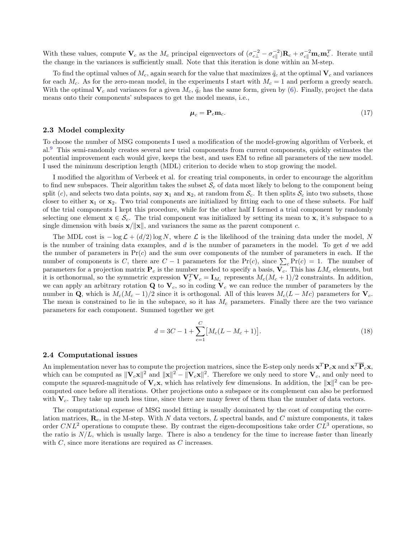With these values, compute  $\mathbf{V}_c$  as the  $M_c$  principal eigenvectors of  $(\sigma_{c\perp}^{-2} - \sigma_{c\parallel}^{-2})\mathbf{R}_c + \sigma_{c\parallel}^{-2}\mathbf{m}_c\mathbf{m}_c^T$ . Iterate until the change in the variances is sufficiently small. Note that this iteration is done within an M-step.

To find the optimal values of  $M_c$ , again search for the value that maximizes  $\tilde{q}_c$  at the optimal  $V_c$  and variances for each  $M_c$ . As for the zero-mean model, in the experiments I start with  $M_c = 1$  and perform a greedy search. With the optimal  $V_c$  and variances for a given  $M_c$ ,  $\tilde{q}_c$  has the same form, given by [\(6\)](#page-3-2). Finally, project the data means onto their components' subspaces to get the model means, i.e.,

$$
\mu_c = \mathbf{P}_c \mathbf{m}_c. \tag{17}
$$

# 2.3 Model complexity

To choose the number of MSG components I used a modification of the model-growing algorithm of Verbeek, et al.[9](#page-13-7) This semi-randomly creates several new trial components from current components, quickly estimates the potential improvement each would give, keeps the best, and uses EM to refine all parameters of the new model. I used the minimum description length (MDL) criterion to decide when to stop growing the model.

I modified the algorithm of Verbeek et al. for creating trial components, in order to encourage the algorithm to find new subspaces. Their algorithm takes the subset  $\mathcal{S}_c$  of data most likely to belong to the component being split (c), and selects two data points, say  $x_1$  and  $x_2$ , at random from  $S_c$ . It then splits  $S_c$  into two subsets, those closer to either  $x_1$  or  $x_2$ . Two trial components are initialized by fitting each to one of these subsets. For half of the trial components I kept this procedure, while for the other half I formed a trial component by randomly selecting one element  $\mathbf{x} \in \mathcal{S}_c$ . The trial component was initialized by setting its mean to  $\mathbf{x}$ , it's subspace to a single dimension with basis  $\mathbf{x}/\|\mathbf{x}\|$ , and variances the same as the parent component c.

The MDL cost is  $-\log \mathcal{L} + (d/2) \log N$ , where  $\mathcal L$  is the likelihood of the training data under the model, N is the number of training data examples, and  $d$  is the number of parameters in the model. To get  $d$  we add the number of parameters in  $Pr(c)$  and the sum over components of the number of parameters in each. If the number of components is C, there are  $C - 1$  parameters for the Pr(c), since  $\sum_{c} Pr(c) = 1$ . The number of parameters for a projection matrix  $P_c$  is the number needed to specify a basis,  $V_c$ . This has  $LM_c$  elements, but it is orthonormal, so the symmetric expression  $V_c^T V_c = I_{M_c}$  represents  $M_c(M_c+1)/2$  constraints. In addition, we can apply an arbitrary rotation  $Q$  to  $V_c$ , so in coding  $V_c$  we can reduce the number of parameters by the number in Q, which is  $M_c(M_c-1)/2$  since it is orthogonal. All of this leaves  $M_c(L-M_c)$  parameters for  $V_c$ . The mean is constrained to lie in the subspace, so it has  $M_c$  parameters. Finally there are the two variance parameters for each component. Summed together we get

$$
d = 3C - 1 + \sum_{c=1}^{C} [M_c(L - M_c + 1)].
$$
\n(18)

#### 2.4 Computational issues

An implementation never has to compute the projection matrices, since the E-step only needs  $x^T P_c x$  and  $x^T \overline{P}_c x$ , which can be computed as  $\|\mathbf{V}_c\mathbf{x}\|^2$  and  $\|\mathbf{x}\|^2 - \|\mathbf{V}_c\mathbf{x}\|^2$ . Therefore we only need to store  $\mathbf{V}_c$ , and only need to compute the squared-magnitude of  $V_c\mathbf{x}$ , which has relatively few dimensions. In addition, the  $\|\mathbf{x}\|^2$  can be precomputed once before all iterations. Other projections onto a subspace or its complement can also be performed with  $V_c$ . They take up much less time, since there are many fewer of them than the number of data vectors.

The computational expense of MSG model fitting is usually dominated by the cost of computing the correlation matrices,  $\mathbf{R}_c$ , in the M-step. With N data vectors, L spectral bands, and C mixture components, it takes order  $CNL<sup>2</sup>$  operations to compute these. By contrast the eigen-decompositions take order  $CL<sup>3</sup>$  operations, so the ratio is  $N/L$ , which is usually large. There is also a tendency for the time to increase faster than linearly with  $C$ , since more iterations are required as  $C$  increases.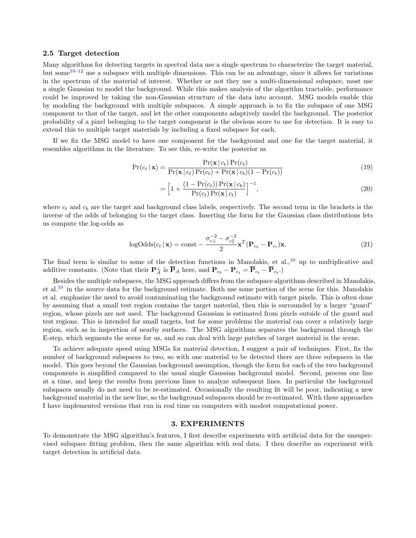#### 2.5 Target detection

Many algorithms for detecting targets in spectral data use a single spectrum to characterize the target material, but some $10^{-12}$  $10^{-12}$  $10^{-12}$  use a subspace with multiple dimensions. This can be an advantage, since it allows for variations in the spectrum of the material of interest. Whether or not they use a multi-dimensional subspace, most use a single Gaussian to model the background. While this makes analysis of the algorithm tractable, performance could be improved by taking the non-Gaussian structure of the data into account. MSG models enable this by modeling the background with multiple subspaces. A simple approach is to fix the subspace of one MSG component to that of the target, and let the other components adaptively model the background. The posterior probability of a pixel belonging to the target component is the obvious score to use for detection. It is easy to extend this to multiple target materials by including a fixed subspace for each.

If we fix the MSG model to have one component for the background and one for the target material, it resembles algorithms in the literature. To see this, re-write the posterior as

$$
Pr(c_t | \mathbf{x}) = \frac{Pr(\mathbf{x} | c_t) Pr(c_t)}{Pr(\mathbf{x} | c_t) Pr(c_t) + Pr(\mathbf{x} | c_b)(1 - Pr(c_t))}
$$
(19)

$$
= \left[1 + \frac{\left(1 - \Pr(c_t)\right)\Pr(\mathbf{x} \mid c_b)}{\Pr(c_t)\Pr(\mathbf{x} \mid c_t)}\right]^{-1},\tag{20}
$$

where  $c_t$  and  $c_b$  are the target and background class labels, respectively. The second term in the brackets is the inverse of the odds of belonging to the target class. Inserting the form for the Gaussian class distributions lets us compute the log-odds as

$$
\log Odds(c_t | \mathbf{x}) = \text{const} - \frac{\sigma_{c\perp}^{-2} - \sigma_{c\parallel}^{-2}}{2} \mathbf{x}^T (\mathbf{P}_{c_b} - \mathbf{P}_{c_t}) \mathbf{x}.
$$
 (21)

The final term is similar to some of the detection functions in Manolakis, et al., $^{10}$  $^{10}$  $^{10}$  up to multiplicative and additive constants. (Note that their  $\mathbf{P}_{A}^{\perp}$  is  $\overline{\mathbf{P}}_{A}$  here, and  $\mathbf{P}_{c_b} - \mathbf{P}_{c_t} = \overline{\mathbf{P}}_{c_t} - \overline{\mathbf{P}}_{c_b}$ .)

Besides the multiple subspaces, the MSG approach differs from the subspace algorithms described in Manolakis, et al.[10](#page-13-8) in the source data for the background estimate. Both use some portion of the scene for this. Manolakis et al. emphasize the need to avoid contaminating the background estimate with target pixels. This is often done by assuming that a small test region contains the target material, then this is surrounded by a larger "guard" region, whose pixels are not used. The background Gaussian is estimated from pixels outside of the guard and test regions. This is intended for small targets, but for some problems the material can cover a relatively large region, such as in inspection of nearby surfaces. The MSG algorithms separates the background through the E-step, which segments the scene for us, and so can deal with large patches of target material in the scene.

To achieve adequate speed using MSGs for material detection, I suggest a pair of techniques. First, fix the number of background subspaces to two, so with one material to be detected there are three subspaces in the model. This goes beyond the Gaussian background assumption, though the form for each of the two background components is simplified compared to the usual single Gaussian background model. Second, process one line at a time, and keep the results from previous lines to analyze subsequent lines. In particular the background subspaces usually do not need to be re-estimated. Occasionally the resulting fit will be poor, indicating a new background material in the new line, so the background subspaces should be re-estimated. With these approaches I have implemented versions that run in real time on computers with modest computational power.

# 3. EXPERIMENTS

<span id="page-5-0"></span>To demonstrate the MSG algorithm's features, I first describe experiments with artificial data for the unsupervised subspace fitting problem, then the same algorithm with real data. I then describe an experiment with target detection in artificial data.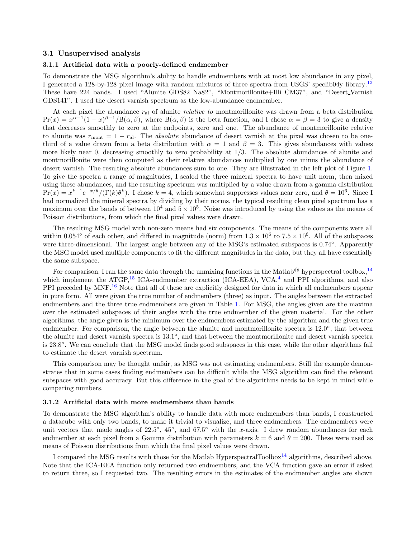#### 3.1 Unsupervised analysis

#### <span id="page-6-0"></span>3.1.1 Artificial data with a poorly-defined endmember

To demonstrate the MSG algorithm's ability to handle endmembers with at most low abundance in any pixel, I generated a 128-by-128 pixel image with random mixtures of three spectra from USGS' speclib04y library.<sup>[13](#page-13-10)</sup> These have 224 bands. I used "Alunite GDS82 Na82", "Montmorillonite+Illi CM37", and "Desert Varnish GDS141". I used the desert varnish spectrum as the low-abundance endmember.

At each pixel the abundance  $r_{al}$  of alunite *relative to* montmorillonite was drawn from a beta distribution  $Pr(x) = x^{\alpha-1}(1-x)^{\beta-1}/B(\alpha, \beta)$ , where  $B(\alpha, \beta)$  is the beta function, and I chose  $\alpha = \beta = 3$  to give a density that decreases smoothly to zero at the endpoints, zero and one. The abundance of montmorillonite relative to alunite was  $r_{\text{mont}} = 1 - r_{\text{al}}$ . The *absolute* abundance of desert varnish at the pixel was chosen to be onethird of a value drawn from a beta distribution with  $\alpha = 1$  and  $\beta = 3$ . This gives abundances with values more likely near 0, decreasing smoothly to zero probability at 1/3. The absolute abundances of alunite and montmorillonite were then computed as their relative abundances multiplied by one minus the abundance of desert varnish. The resulting absolute abundances sum to one. They are illustrated in the left plot of Figure [1.](#page-1-0) To give the spectra a range of magnitudes, I scaled the three mineral spectra to have unit norm, then mixed using these abundances, and the resulting spectrum was multiplied by a value drawn from a gamma distribution  $Pr(x) = x^{k-1}e^{-x/\theta}/(\Gamma(k)\theta^k)$ . I chose  $k = 4$ , which somewhat suppresses values near zero, and  $\theta = 10^6$ . Since I had normalized the mineral spectra by dividing by their norms, the typical resulting clean pixel spectrum has a maximum over the bands of between  $10^4$  and  $5 \times 10^5$ . Noise was introduced by using the values as the means of Poisson distributions, from which the final pixel values were drawn.

The resulting MSG model with non-zero means had six components. The means of the components were all within 0.054 $^{\circ}$  of each other, and differed in magnitude (norm) from  $1.3 \times 10^6$  to  $7.5 \times 10^6$ . All of the subspaces were three-dimensional. The largest angle between any of the MSG's estimated subspaces is  $0.74^{\circ}$ . Apparently the MSG model used multiple components to fit the different magnitudes in the data, but they all have essentially the same subspace.

For comparison, I ran the same data through the unmixing functions in the Matlab<sup>®</sup> hyperspectral toolbox,<sup>[14](#page-13-11)</sup> which implement the ATGP,<sup>[15](#page-13-12)</sup> ICA-endmember extraction (ICA-EEA), VCA,<sup>[4](#page-13-2)</sup> and PPI algorithms, and also PPI preceded by MNF.<sup>[16](#page-13-13)</sup> Note that all of these are explicitly designed for data in which all endmembers appear in pure form. All were given the true number of endmembers (three) as input. The angles between the extracted endmembers and the three true endmembers are given in Table [1.](#page-7-0) For MSG, the angles given are the maxima over the estimated subspaces of their angles with the true endmember of the given material. For the other algorithms, the angle given is the minimum over the endmembers estimated by the algorithm and the given true endmember. For comparison, the angle between the alunite and montmorillonite spectra is 12.0°, that between the alunite and desert varnish spectra is 13.1°, and that between the montmorillonite and desert varnish spectra is 23.8 ◦ . We can conclude that the MSG model finds good subspaces in this case, while the other algorithms fail to estimate the desert varnish spectrum.

This comparison may be thought unfair, as MSG was not estimating endmembers. Still the example demonstrates that in some cases finding endmembers can be difficult while the MSG algorithm can find the relevant subspaces with good accuracy. But this difference in the goal of the algorithms needs to be kept in mind while comparing numbers.

#### <span id="page-6-1"></span>3.1.2 Artificial data with more endmembers than bands

To demonstrate the MSG algorithm's ability to handle data with more endmembers than bands, I constructed a datacube with only two bands, to make it trivial to visualize, and three endmembers. The endmembers were unit vectors that made angles of  $22.5^\circ$ ,  $45^\circ$ , and  $67.5^\circ$  with the x-axis. I drew random abundances for each endmember at each pixel from a Gamma distribution with parameters  $k = 6$  and  $\theta = 200$ . These were used as means of Poisson distributions from which the final pixel values were drawn.

I compared the MSG results with those for the Matlab HyperspectralToolbox<sup>[14](#page-13-11)</sup> algorithms, described above. Note that the ICA-EEA function only returned two endmembers, and the VCA function gave an error if asked to return three, so I requested two. The resulting errors in the estimates of the endmember angles are shown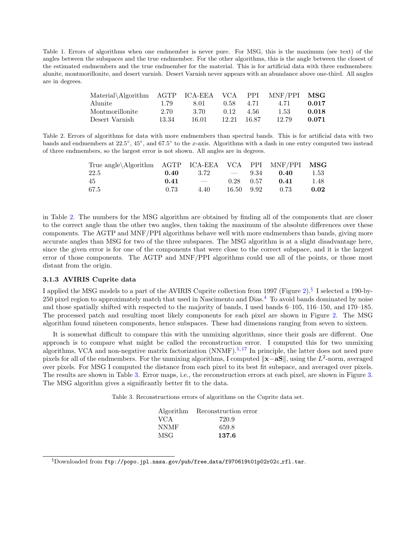<span id="page-7-0"></span>Table 1. Errors of algorithms when one endmember is never pure. For MSG, this is the maximum (see text) of the angles between the subspaces and the true endmember. For the other algorithms, this is the angle between the closest of the estimated endmembers and the true endmember for the material. This is for artificial data with three endmembers: alunite, montmorillonite, and desert varnish. Desert Varnish never appears with an abundance above one-third. All angles are in degrees.

| Material\Algorithm AGTP ICA-EEA VCA PPI MNF/PPI MSG |       |       |                    |                  |       |
|-----------------------------------------------------|-------|-------|--------------------|------------------|-------|
| Alunite                                             | 1.79  | 8.01  |                    | $0.58$ 4.71 4.71 | 0.017 |
| Montmorillonite                                     | 2.70  | 3.70  | $0.12 \qquad 4.56$ | 1.53             | 0.018 |
| Desert Varnish                                      | 13.34 | 16.01 | 12.21 16.87        | 12.79            | 0.071 |

<span id="page-7-1"></span>Table 2. Errors of algorithms for data with more endmembers than spectral bands. This is for artificial data with two bands and endmembers at  $22.5^\circ$ ,  $45^\circ$ , and  $67.5^\circ$  to the x-axis. Algorithms with a dash in one entry computed two instead of three endmembers, so the largest error is not shown. All angles are in degrees.

| True angle\Algorithm AGTP ICA-EEA VCA PPI MNF/PPI MSG |      |                                 |  |                                          |      |
|-------------------------------------------------------|------|---------------------------------|--|------------------------------------------|------|
| 22.5                                                  | 0.40 |                                 |  | $3.72 \quad -9.34 \quad 0.40 \quad 1.53$ |      |
| 45                                                    | 0.41 | the contract of the contract of |  | $0.28$ $0.57$ $0.41$                     | 1.48 |
| 67.5                                                  | 0.73 | 4.40                            |  | 16.50 9.92 0.73                          | 0.02 |

in Table [2.](#page-7-1) The numbers for the MSG algorithm are obtained by finding all of the components that are closer to the correct angle than the other two angles, then taking the maximum of the absolute differences over these components. The AGTP and MNF/PPI algorithms behave well with more endmembers than bands, giving more accurate angles than MSG for two of the three subspaces. The MSG algorithm is at a slight disadvantage here, since the given error is for one of the components that were close to the correct subspace, and it is the largest error of those components. The AGTP and MNF/PPI algorithms could use all of the points, or those most distant from the origin.

## 3.1.3 AVIRIS Cuprite data

I applied the MSG models to a part of the AVIRIS Cuprite collection from 1997 (Figure [2\)](#page-8-0).<sup>[§](#page-7-2)</sup> I selected a 190-by-250 pixel region to approximately match that used in Nascimento and Dias.<sup>[4](#page-13-2)</sup> To avoid bands dominated by noise and those spatially shifted with respected to the majority of bands, I used bands 6–105, 116–150, and 170–185. The processed patch and resulting most likely components for each pixel are shown in Figure [2.](#page-8-0) The MSG algorithm found nineteen components, hence subspaces. These had dimensions ranging from seven to sixteen.

It is somewhat difficult to compare this with the unmixing algorithms, since their goals are different. One approach is to compare what might be called the reconstruction error. I computed this for two unmixing algorithms, VCA and non-negative matrix factorization (NNMF).<sup>[5,](#page-13-3) [17](#page-13-14)</sup> In principle, the latter does not need pure pixels for all of the endmembers. For the unmixing algorithms, I computed  $\|\mathbf{x}-\mathbf{aS}\|$ , using the  $L^2$ -norm, averaged over pixels. For MSG I computed the distance from each pixel to its best fit subspace, and averaged over pixels. The results are shown in Table [3.](#page-7-3) Error maps, i.e., the reconstruction errors at each pixel, are shown in Figure [3.](#page-8-1) The MSG algorithm gives a significantly better fit to the data.

<span id="page-7-3"></span>Table 3. Reconstructions errors of algorithms on the Cuprite data set.

|             | Algorithm Reconstruction error |
|-------------|--------------------------------|
| <b>VCA</b>  | 720.9                          |
| <b>NNMF</b> | 659.8                          |
| MSG         | 137.6                          |

<span id="page-7-2"></span> $\S$ Downloaded from ftp://popo.jpl.nasa.gov/pub/free\_data/f970619t01p02r02c\_rfl.tar.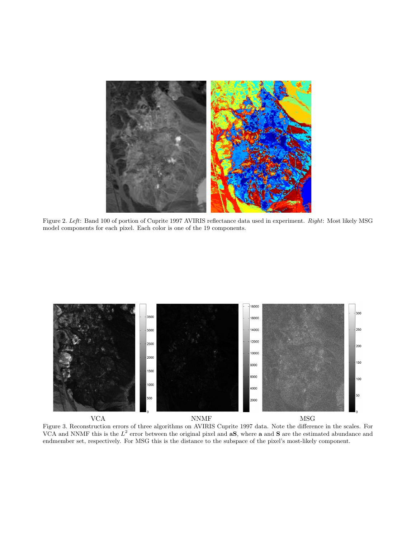

Figure 2. Left: Band 100 of portion of Cuprite 1997 AVIRIS reflectance data used in experiment. Right: Most likely MSG model components for each pixel. Each color is one of the 19 components.

<span id="page-8-0"></span>

<span id="page-8-1"></span>Figure 3. Reconstruction errors of three algorithms on AVIRIS Cuprite 1997 data. Note the difference in the scales. For VCA and NNMF this is the  $L^2$  error between the original pixel and  $\bf{a}S$ , where  $\bf{a}$  and  $\bf{S}$  are the estimated abundance and endmember set, respectively. For MSG this is the distance to the subspace of the pixel's most-likely component.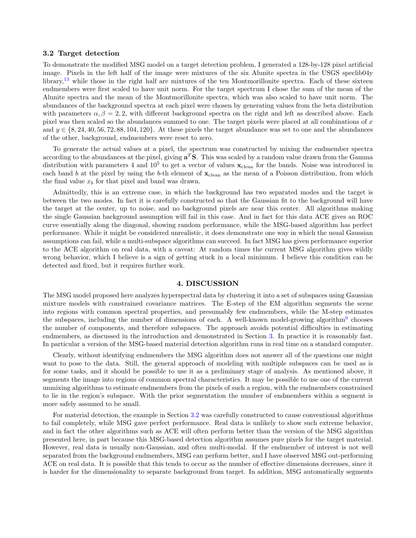#### <span id="page-9-0"></span>3.2 Target detection

To demonstrate the modified MSG model on a target detection problem, I generated a 128-by-128 pixel artificial image. Pixels in the left half of the image were mixtures of the six Alunite spectra in the USGS speclib04y library, $^{13}$  $^{13}$  $^{13}$  while those in the right half are mixtures of the ten Montmorillonite spectra. Each of these sixteen endmembers were first scaled to have unit norm. For the target spectrum I chose the sum of the mean of the Alunite spectra and the mean of the Montmorillonite spectra, which was also scaled to have unit norm. The abundances of the background spectra at each pixel were chosen by generating values from the beta distribution with parameters  $\alpha, \beta = 2, 2$ , with different background spectra on the right and left as described above. Each pixel was then scaled so the abundances summed to one. The target pixels were placed at all combinations of x and  $y \in \{8, 24, 40, 56, 72, 88, 104, 120\}$ . At these pixels the target abundance was set to one and the abundances of the other, background, endmembers were reset to zero.

To generate the actual values at a pixel, the spectrum was constructed by mixing the endmember spectra according to the abundances at the pixel, giving  $a^T S$ . This was scaled by a random value drawn from the Gamma distribution with parameters 4 and  $10^5$  to get a vector of values  $\mathbf{x}_{clean}$  for the bands. Noise was introduced in each band b at the pixel by using the b-th element of  $\mathbf{x}_{clean}$  as the mean of a Poisson distribution, from which the final value  $x<sub>b</sub>$  for that pixel and band was drawn.

Admittedly, this is an extreme case, in which the background has two separated modes and the target is between the two modes. In fact it is carefully constructed so that the Gaussian fit to the background will have the target at the center, up to noise, and no background pixels are near this center. All algorithms making the single Gaussian background assumption will fail in this case. And in fact for this data ACE gives an ROC curve essentially along the diagonal, showing random performance, while the MSG-based algorithm has perfect performance. While it might be considered unrealistic, it does demonstrate one way in which the usual Gaussian assumptions can fail, while a multi-subspace algorithms can succeed. In fact MSG has given performance superior to the ACE algorithm on real data, with a caveat: At random times the current MSG algorithm gives wildly wrong behavior, which I believe is a sign of getting stuck in a local minimum. I believe this condition can be detected and fixed, but it requires further work.

# 4. DISCUSSION

The MSG model proposed here analyzes hyperspectral data by clustering it into a set of subspaces using Gaussian mixture models with constrained covariance matrices. The E-step of the EM algorithm segments the scene into regions with common spectral properties, and presumably few endmembers, while the M-step estimates the subspaces, including the number of dimensions of each. A well-known model-growing algorithm<sup>[9](#page-13-7)</sup> chooses the number of components, and therefore subspaces. The approach avoids potential difficulties in estimating endmembers, as discussed in the introduction and demonstrated in Section [3.](#page-5-0) In practice it is reasonably fast. In particular a version of the MSG-based material detection algorithm runs in real time on a standard computer.

Clearly, without identifying endmembers the MSG algorithm does not answer all of the questions one might want to pose to the data. Still, the general approach of modeling with multiple subspaces can be used as is for some tasks, and it should be possible to use it as a preliminary stage of analysis. As mentioned above, it segments the image into regions of common spectral characteristics. It may be possible to use one of the current unmixing algorithms to estimate endmembers from the pixels of such a region, with the endmembers constrained to lie in the region's subspace. With the prior segmentation the number of endmembers within a segment is more safely assumed to be small.

For material detection, the example in Section [3.2](#page-9-0) was carefully constructed to cause conventional algorithms to fail completely, while MSG gave perfect performance. Real data is unlikely to show such extreme behavior, and in fact the other algorithms such as ACE will often perform better than the version of the MSG algorithm presented here, in part because this MSG-based detection algorithm assumes pure pixels for the target material. However, real data is usually non-Gaussian, and often multi-modal. If the endmember of interest is not well separated from the background endmembers, MSG can perform better, and I have observed MSG out-performing ACE on real data. It is possible that this tends to occur as the number of effective dimensions decreases, since it is harder for the dimensionality to separate background from target. In addition, MSG automatically segments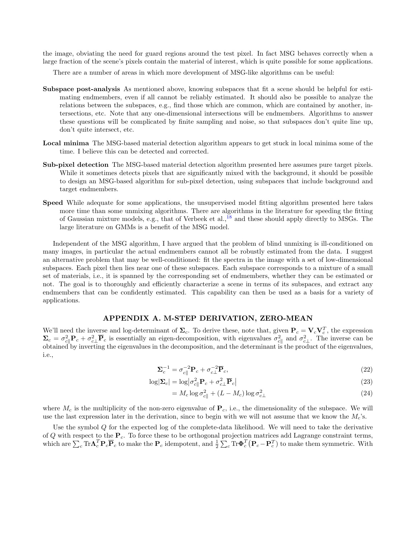the image, obviating the need for guard regions around the test pixel. In fact MSG behaves correctly when a large fraction of the scene's pixels contain the material of interest, which is quite possible for some applications.

There are a number of areas in which more development of MSG-like algorithms can be useful:

- Subspace post-analysis As mentioned above, knowing subspaces that fit a scene should be helpful for estimating endmembers, even if all cannot be reliably estimated. It should also be possible to analyze the relations between the subspaces, e.g., find those which are common, which are contained by another, intersections, etc. Note that any one-dimensional intersections will be endmembers. Algorithms to answer these questions will be complicated by finite sampling and noise, so that subspaces don't quite line up, don't quite intersect, etc.
- Local minima The MSG-based material detection algorithm appears to get stuck in local minima some of the time. I believe this can be detected and corrected.
- Sub-pixel detection The MSG-based material detection algorithm presented here assumes pure target pixels. While it sometimes detects pixels that are significantly mixed with the background, it should be possible to design an MSG-based algorithm for sub-pixel detection, using subspaces that include background and target endmembers.
- Speed While adequate for some applications, the unsupervised model fitting algorithm presented here takes more time than some unmixing algorithms. There are algorithms in the literature for speeding the fitting of Gaussian mixture models, e.g., that of Verbeek et al.,  $^{18}$  $^{18}$  $^{18}$  and these should apply directly to MSGs. The large literature on GMMs is a benefit of the MSG model.

Independent of the MSG algorithm, I have argued that the problem of blind unmixing is ill-conditioned on many images, in particular the actual endmembers cannot all be robustly estimated from the data. I suggest an alternative problem that may be well-conditioned: fit the spectra in the image with a set of low-dimensional subspaces. Each pixel then lies near one of these subspaces. Each subspace corresponds to a mixture of a small set of materials, i.e., it is spanned by the corresponding set of endmembers, whether they can be estimated or not. The goal is to thoroughly and efficiently characterize a scene in terms of its subspaces, and extract any endmembers that can be confidently estimated. This capability can then be used as a basis for a variety of applications.

# APPENDIX A. M-STEP DERIVATION, ZERO-MEAN

<span id="page-10-0"></span>We'll need the inverse and log-determinant of  $\Sigma_c$ . To derive these, note that, given  $P_c = V_c V_c^T$ , the expression  $\Sigma_c = \sigma_{c\parallel}^2 \mathbf{P}_c + \sigma_{c\perp}^2 \mathbf{\overline{P}}_c$  is essentially an eigen-decomposition, with eigenvalues  $\sigma_{c\parallel}^2$  and  $\sigma_{c\perp}^2$ . The inverse can be obtained by inverting the eigenvalues in the decomposition, and the determinant is the product of the eigenvalues, i.e.,

$$
\Sigma_c^{-1} = \sigma_{c\parallel}^{-2} \mathbf{P}_c + \sigma_{c\perp}^{-2} \overline{\mathbf{P}}_c,\tag{22}
$$

$$
\log|\mathbf{\Sigma}_c| = \log|\sigma_{c\parallel}^2 \mathbf{P}_c + \sigma_{c\perp}^2 \overline{\mathbf{P}}_c|
$$
\n(23)

$$
=M_c \log \sigma_{c\parallel}^2 + (L - M_c) \log \sigma_{c\perp}^2 \tag{24}
$$

where  $M_c$  is the multiplicity of the non-zero eigenvalue of  $P_c$ , i.e., the dimensionality of the subspace. We will use the last expression later in the derivation, since to begin with we will not assume that we know the  $M_c$ 's.

Use the symbol  $Q$  for the expected log of the complete-data likelihood. We will need to take the derivative of  $Q$  with respect to the  $P_c$ . To force these to be orthogonal projection matrices add Lagrange constraint terms, which are  $\sum_c$  Tr $\Lambda_c^T$ **P**<sub>c</sub> $\overline{P}_c$  to make the **P**<sub>c</sub> idempotent, and  $\frac{1}{2}\sum_c$  Tr $\Phi_c^T$  $(P_c - P_c^T)$  to make them symmetric. With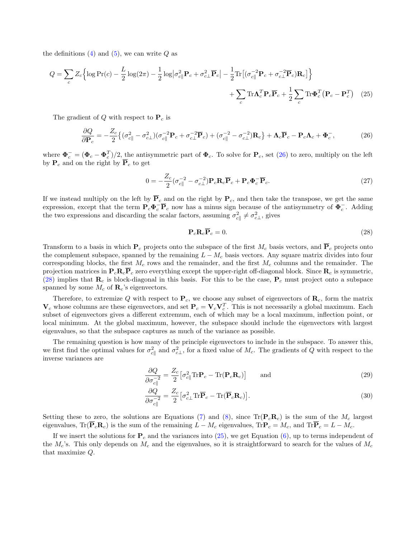the definitions  $(4)$  and  $(5)$ , we can write Q as

$$
Q = \sum_{c} Z_c \left\{ \log \Pr(c) - \frac{L}{2} \log(2\pi) - \frac{1}{2} \log \left| \sigma_{c\parallel}^2 \mathbf{P}_c + \sigma_{c\perp}^2 \overline{\mathbf{P}}_c \right| - \frac{1}{2} \text{Tr} \left[ (\sigma_{c\parallel}^{-2} \mathbf{P}_c + \sigma_{c\perp}^{-2} \overline{\mathbf{P}}_c) \mathbf{R}_c \right] \right\}
$$

$$
+ \sum_{c} \text{Tr} \mathbf{\Lambda}_c^T \mathbf{P}_c \overline{\mathbf{P}}_c + \frac{1}{2} \sum_{c} \text{Tr} \boldsymbol{\Phi}_c^T (\mathbf{P}_c - \mathbf{P}_c^T) \quad (25)
$$

The gradient of Q with respect to  $P_c$  is

<span id="page-11-0"></span>
$$
\frac{\partial Q}{\partial \mathbf{P}_c} = -\frac{Z_c}{2} \left\{ (\sigma_{c\parallel}^2 - \sigma_{c\perp}^2)(\sigma_{c\parallel}^{-2} \mathbf{P}_c + \sigma_{c\perp}^{-2} \overline{\mathbf{P}}_c) + (\sigma_{c\parallel}^{-2} - \sigma_{c\perp}^{-2}) \mathbf{R}_c \right\} + \mathbf{\Lambda}_c \overline{\mathbf{P}}_c - \mathbf{P}_c \mathbf{\Lambda}_c + \mathbf{\Phi}_c^-,
$$
(26)

where  $\mathbf{\Phi}_c^{\dagger} = (\mathbf{\Phi}_c - \mathbf{\Phi}_c^T)/2$ , the antisymmetric part of  $\mathbf{\Phi}_c$ . To solve for  $\mathbf{P}_c$ , set [\(26\)](#page-11-0) to zero, multiply on the left by  $P_c$  and on the right by  $\overline{P}_c$  to get

$$
0 = -\frac{Z_c}{2} (\sigma_{c\parallel}^{-2} - \sigma_{c\perp}^{-2}) \mathbf{P}_c \mathbf{R}_c \overline{\mathbf{P}}_c + \mathbf{P}_c \mathbf{\Phi}_c^{-} \overline{\mathbf{P}}_c.
$$
 (27)

If we instead multiply on the left by  $\overline{P}_c$  and on the right by  $P_c$ , and then take the transpose, we get the same expression, except that the term  $P_c \Phi_c^-\overline{P}_c$  now has a minus sign because of the antisymmetry of  $\Phi_c^-$ . Adding the two expressions and discarding the scalar factors, assuming  $\sigma_{c\parallel}^2 \neq \sigma_{c\perp}^2$ , gives

<span id="page-11-2"></span><span id="page-11-1"></span>
$$
\mathbf{P}_c \mathbf{R}_c \overline{\mathbf{P}}_c = 0. \tag{28}
$$

Transform to a basis in which  $P_c$  projects onto the subspace of the first  $M_c$  basis vectors, and  $\overline{P}_c$  projects onto the complement subspace, spanned by the remaining  $L - M_c$  basis vectors. Any square matrix divides into four corresponding blocks, the first  $M_c$  rows and the remainder, and the first  $M_c$  columns and the remainder. The projection matrices in  $P_cR_cP_c$  zero everything except the upper-right off-diagonal block. Since  $R_c$  is symmetric, [\(28\)](#page-11-1) implies that  $\mathbf{R}_c$  is block-diagonal in this basis. For this to be the case,  $\mathbf{P}_c$  must project onto a subspace spanned by some  $M_c$  of  $\mathbf{R}_c$ 's eigenvectors.

Therefore, to extremize Q with respect to  $P_c$ , we choose any subset of eigenvectors of  $\mathbf{R}_c$ , form the matrix  $V_c$  whose columns are these eigenvectors, and set  $P_c = V_c V_c^T$ . This is not necessarily a global maximum. Each subset of eigenvectors gives a different extremum, each of which may be a local maximum, inflection point, or local minimum. At the global maximum, however, the subspace should include the eigenvectors with largest eigenvalues, so that the subspace captures as much of the variance as possible.

The remaining question is how many of the principle eigenvectors to include in the subspace. To answer this, we first find the optimal values for  $\sigma_{c\parallel}^2$  and  $\sigma_{c\perp}^2$ , for a fixed value of  $M_c$ . The gradients of Q with respect to the inverse variances are

$$
\frac{\partial Q}{\partial \sigma_{c\parallel}^{-2}} = \frac{Z_c}{2} \left[ \sigma_{c\parallel}^2 \text{Tr} \mathbf{P}_c - \text{Tr} (\mathbf{P}_c \mathbf{R}_c) \right] \quad \text{and} \tag{29}
$$

$$
\frac{\partial Q}{\partial \sigma_{c\parallel}^{-2}} = \frac{Z_c}{2} \left[ \sigma_{c\perp}^2 \text{Tr} \overline{\mathbf{P}}_c - \text{Tr}(\overline{\mathbf{P}}_c \mathbf{R}_c) \right].
$$
\n(30)

Setting these to zero, the solutions are Equations [\(7\)](#page-3-0) and [\(8\)](#page-3-5), since  $\text{Tr}(\mathbf{P}_c\mathbf{R}_c)$  is the sum of the  $M_c$  largest eigenvalues,  $\text{Tr}(\overline{\mathbf{P}}_c\mathbf{R}_c)$  is the sum of the remaining  $L - M_c$  eigenvalues,  $\text{Tr}\mathbf{P}_c = M_c$ , and  $\text{Tr}\overline{\mathbf{P}}_c = L - M_c$ .

If we insert the solutions for  $P_c$  and the variances into [\(25\)](#page-11-2), we get Equation [\(6\)](#page-3-2), up to terms independent of the  $M_c$ 's. This only depends on  $M_c$  and the eigenvalues, so it is straightforward to search for the values of  $M_c$ that maximize Q.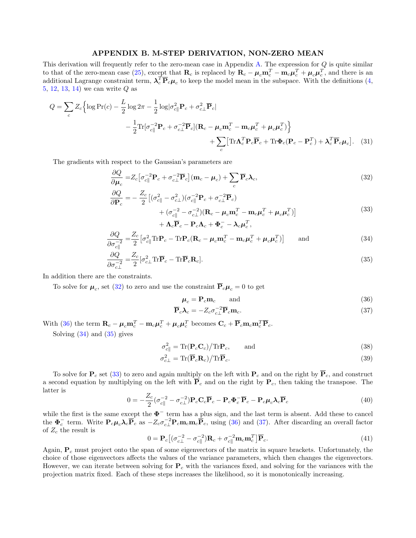## APPENDIX B. M-STEP DERIVATION, NON-ZERO MEAN

<span id="page-12-0"></span>This derivation will frequently refer to the zero-mean case in Appendix [A.](#page-10-0) The expression for  $Q$  is quite similar to that of the zero-mean case [\(25\)](#page-11-2), except that  $\mathbf{R}_c$  is replaced by  $\mathbf{R}_c - \mu_c \mathbf{m}_c^T - \mathbf{m}_c \mu_c^T + \mu_c \mu_c^T$ , and there is an additional Lagrange constraint term,  $\lambda_c^T \overline{P}_c \mu_c$  to keep the model mean in the subspace. With the definitions [\(4,](#page-3-3) [5,](#page-3-4) [12,](#page-3-6) [13,](#page-3-7) [14\)](#page-3-8) we can write  $Q$  as

$$
Q = \sum_{c} Z_c \left\{ \log \Pr(c) - \frac{L}{2} \log 2\pi - \frac{1}{2} \log |\sigma_{c\parallel}^2 \mathbf{P}_c + \sigma_{c\perp}^2 \overline{\mathbf{P}}_c \right|
$$

$$
- \frac{1}{2} \text{Tr} [\sigma_{c\parallel}^{-2} \mathbf{P}_c + \sigma_{c\perp}^{-2} \overline{\mathbf{P}}_c] (\mathbf{R}_c - \boldsymbol{\mu}_c \mathbf{m}_c^T - \mathbf{m}_c \boldsymbol{\mu}_c^T + \boldsymbol{\mu}_c \boldsymbol{\mu}_c^T) \right\}
$$

$$
+ \sum_{c} [\text{Tr} \mathbf{\Lambda}_c^T \mathbf{P}_c \overline{\mathbf{P}}_c + \text{Tr} \boldsymbol{\Phi}_c (\mathbf{P}_c - \mathbf{P}_c^T) + \boldsymbol{\lambda}_c^T \overline{\mathbf{P}}_c \boldsymbol{\mu}_c]. \quad (31)
$$

The gradients with respect to the Gaussian's parameters are

$$
\frac{\partial Q}{\partial \mu_c} = Z_c \left[ \sigma_{c\parallel}^{-2} \mathbf{P}_c + \sigma_{c\perp}^{-2} \overline{\mathbf{P}}_c \right] (\mathbf{m}_c - \mu_c) + \sum_c \overline{\mathbf{P}}_c \boldsymbol{\lambda}_c,\tag{32}
$$

$$
\frac{\partial Q}{\partial \mathbf{P}_c} = -\frac{Z_c}{2} \left[ (\sigma_{c\parallel}^2 - \sigma_{c\perp}^2)(\sigma_{c\parallel}^{-2} \mathbf{P}_c + \sigma_{c\perp}^{-2} \overline{\mathbf{P}}_c) + (\sigma_{c\parallel}^{-2} - \sigma_{c\perp}^{-2})(\mathbf{R}_c - \boldsymbol{\mu}_c \mathbf{m}_c^T - \mathbf{m}_c \boldsymbol{\mu}_c^T + \boldsymbol{\mu}_c \boldsymbol{\mu}_c^T) \right]
$$
\n(33)

$$
+\Lambda_c \overline{P}_c - P_c \Lambda_c + \Phi_c^- - \lambda_c \mu_c^T,
$$
  
\n
$$
\frac{\partial Q}{\partial \sigma_{c\parallel}^{-2}} = \frac{Z_c}{2} \left[ \sigma_{c\parallel}^2 \text{Tr} \mathbf{P}_c - \text{Tr} \mathbf{P}_c (\mathbf{R}_c - \mu_c \mathbf{m}_c^T - \mathbf{m}_c \mu_c^T + \mu_c \mu_c^T) \right]
$$
 and (34)

$$
\frac{\partial \dot{Q}}{\partial \sigma_{c\perp}^{-2}} = \frac{Z_c}{2} [\sigma_{c\perp}^2 \text{Tr} \overline{\mathbf{P}}_c - \text{Tr} \overline{\mathbf{P}}_c \mathbf{R}_c].
$$
\n(35)

In addition there are the constraints.

To solve for  $\mu_c$ , set [\(32\)](#page-12-1) to zero and use the constraint  $\overline{P}_c \mu_c = 0$  to get

<span id="page-12-6"></span><span id="page-12-5"></span><span id="page-12-4"></span><span id="page-12-3"></span><span id="page-12-2"></span><span id="page-12-1"></span>
$$
\mu_c = \mathbf{P}_c \mathbf{m}_c \quad \text{and} \tag{36}
$$

$$
\overline{\mathbf{P}}_c \boldsymbol{\lambda}_c = -Z_c \sigma_{c\perp}^{-2} \overline{\mathbf{P}}_c \mathbf{m}_c. \tag{37}
$$

With [\(36\)](#page-12-2) the term  $\mathbf{R}_c - \boldsymbol{\mu}_c \mathbf{m}_c^T - \mathbf{m}_c \boldsymbol{\mu}_c^T + \boldsymbol{\mu}_c \boldsymbol{\mu}_c^T$  becomes  $\mathbf{C}_c + \overline{\mathbf{P}}_c \mathbf{m}_c \mathbf{m}_c^T \overline{\mathbf{P}}_c$ .

Solving [\(34\)](#page-12-3) and [\(35\)](#page-12-4) gives

$$
\sigma_{c\parallel}^2 = \text{Tr}(\mathbf{P}_c \mathbf{C}_c) / \text{Tr} \mathbf{P}_c, \quad \text{and} \tag{38}
$$

$$
\sigma_{c\perp}^2 = \text{Tr}(\overline{\mathbf{P}}_c \mathbf{R}_c) / \text{Tr} \overline{\mathbf{P}}_c.
$$
\n(39)

To solve for  $P_c$  set [\(33\)](#page-12-5) to zero and again multiply on the left with  $P_c$  and on the right by  $\overline{P}_c$ , and construct a second equation by multiplying on the left with  $\overline{P}_c$  and on the right by  $P_c$ , then taking the transpose. The latter is

$$
0 = -\frac{Z_c}{2} (\sigma_{c\parallel}^{-2} - \sigma_{c\perp}^{-2}) \mathbf{P}_c \mathbf{C}_c \overline{\mathbf{P}}_c - \mathbf{P}_c \mathbf{\Phi}_c \overline{\mathbf{P}}_c - \mathbf{P}_c \boldsymbol{\mu}_c \boldsymbol{\lambda}_c \overline{\mathbf{P}}_c \tag{40}
$$

while the first is the same except the  $\Phi^-$  term has a plus sign, and the last term is absent. Add these to cancel the  $\Phi_c^-$  term. Write  $P_c\mu_c\lambda_c\overline{P}_c$  as  $-Z_c\sigma_{c\perp}^{-2}P_c m_c m_c\overline{P}_c$ , using [\(36\)](#page-12-2) and [\(37\)](#page-12-6). After discarding an overall factor of  $Z_c$  the result is

$$
0 = \mathbf{P}_c \left[ (\sigma_{c\perp}^{-2} - \sigma_{c\parallel}^{-2}) \mathbf{R}_c + \sigma_{c\parallel}^{-2} \mathbf{m}_c \mathbf{m}_c^T \right] \overline{\mathbf{P}}_c.
$$
\n(41)

Again,  $P_c$  must project onto the span of some eigenvectors of the matrix in square brackets. Unfortunately, the choice of those eigenvectors affects the values of the variance parameters, which then changes the eigenvectors. However, we can iterate between solving for  $P_c$  with the variances fixed, and solving for the variances with the projection matrix fixed. Each of these steps increases the likelihood, so it is monotonically increasing.